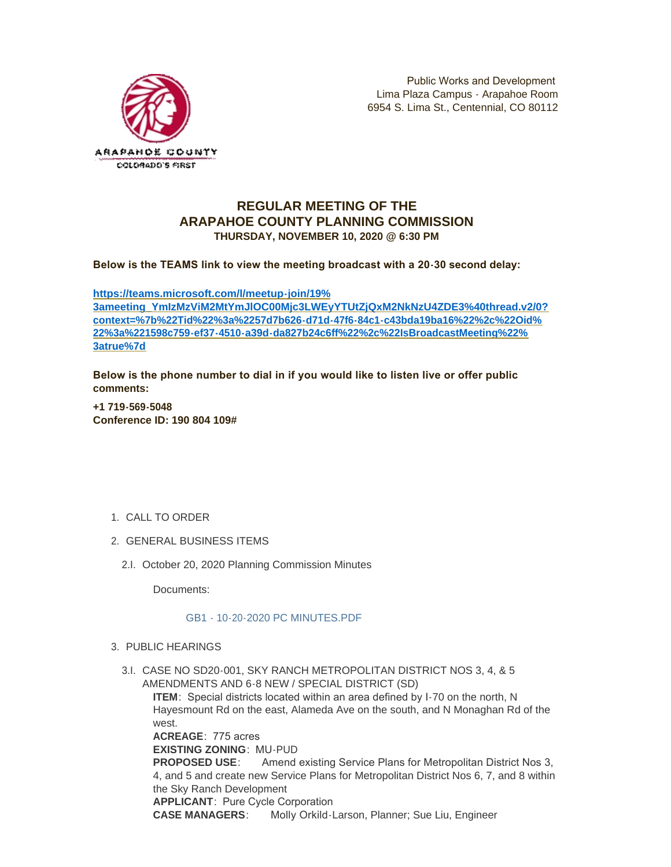

## **REGULAR MEETING OF THE ARAPAHOE COUNTY PLANNING COMMISSION THURSDAY, NOVEMBER 10, 2020 @ 6:30 PM**

**Below is the TEAMS link to view the meeting broadcast with a 20-30 second delay:** 

**https://teams.microsoft.com/l/meetup-join/19% [3ameeting\\_YmIzMzViM2MtYmJlOC00Mjc3LWEyYTUtZjQxM2NkNzU4ZDE3%40thread.v2/0?](https://teams.microsoft.com/l/meetup-join/19%3ameeting_YmIzMzViM2MtYmJlOC00Mjc3LWEyYTUtZjQxM2NkNzU4ZDE3%40thread.v2/0?context=%7b%22Tid%22%3a%2257d7b626-d71d-47f6-84c1-c43bda19ba16%22%2c%22Oid%22%3a%221598c759-ef37-4510-a39d-da827b24c6ff%22%2c%22IsBroadcastMeeting%22%3atrue%7d) context=%7b%22Tid%22%3a%2257d7b626-d71d-47f6-84c1-c43bda19ba16%22%2c%22Oid% 22%3a%221598c759-ef37-4510-a39d-da827b24c6ff%22%2c%22IsBroadcastMeeting%22% 3atrue%7d**

**Below is the phone number to dial in if you would like to listen live or offer public comments:**

**+1 719-569-5048 Conference ID: 190 804 109#**

- 1. CALL TO ORDER
- GENERAL BUSINESS ITEMS 2.
	- 2.I. October 20, 2020 Planning Commission Minutes

Documents:

## [GB1 - 10-20-2020 PC MINUTES.PDF](https://www.arapahoegov.com/AgendaCenter/ViewFile/Item/13819?fileID=24685)

- PUBLIC HEARINGS 3.
	- 3.I. CASE NO SD20-001, SKY RANCH METROPOLITAN DISTRICT NOS 3, 4, & 5 AMENDMENTS AND 6-8 NEW / SPECIAL DISTRICT (SD)

**ITEM**: Special districts located within an area defined by I-70 on the north, N Hayesmount Rd on the east, Alameda Ave on the south, and N Monaghan Rd of the west.

**ACREAGE**: 775 acres **EXISTING ZONING**: MU-PUD **PROPOSED USE**: Amend existing Service Plans for Metropolitan District Nos 3, 4, and 5 and create new Service Plans for Metropolitan District Nos 6, 7, and 8 within the Sky Ranch Development **APPLICANT**: Pure Cycle Corporation **CASE MANAGERS**: Molly Orkild-Larson, Planner; Sue Liu, Engineer